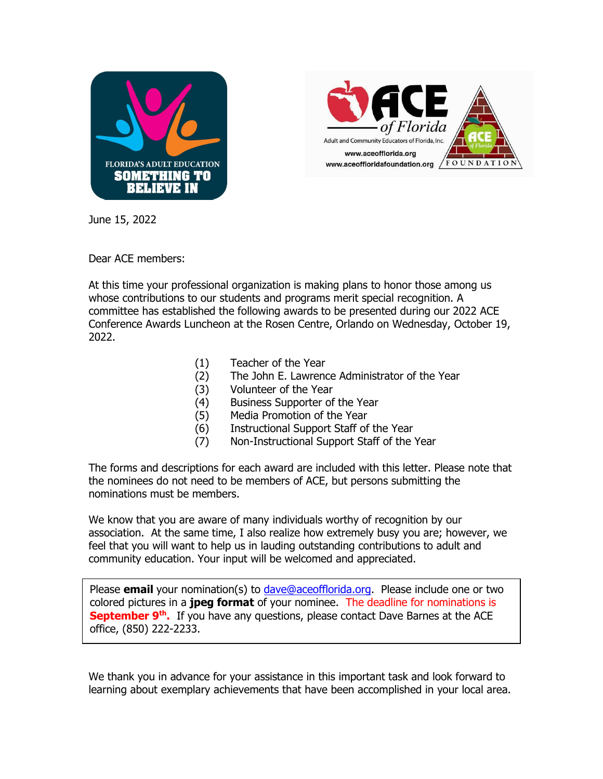



June 15, 2022

Dear ACE members:

At this time your professional organization is making plans to honor those among us whose contributions to our students and programs merit special recognition. A committee has established the following awards to be presented during our 2022 ACE Conference Awards Luncheon at the Rosen Centre, Orlando on Wednesday, October 19, 2022.

- (1) Teacher of the Year
- (2) The John E. Lawrence Administrator of the Year
- (3) Volunteer of the Year
- (4) Business Supporter of the Year
- (5) Media Promotion of the Year
- (6) Instructional Support Staff of the Year
- (7) Non-Instructional Support Staff of the Year

The forms and descriptions for each award are included with this letter. Please note that the nominees do not need to be members of ACE, but persons submitting the nominations must be members.

We know that you are aware of many individuals worthy of recognition by our association. At the same time, I also realize how extremely busy you are; however, we feel that you will want to help us in lauding outstanding contributions to adult and community education. Your input will be welcomed and appreciated.

Please **email** your nomination(s) to [dave@aceofflorida.org.](mailto:dave@aceofflorida.org) Please include one or two colored pictures in a **jpeg format** of your nominee. The deadline for nominations is **September 9th .** If you have any questions, please contact Dave Barnes at the ACE office, (850) 222-2233.

We thank you in advance for your assistance in this important task and look forward to learning about exemplary achievements that have been accomplished in your local area.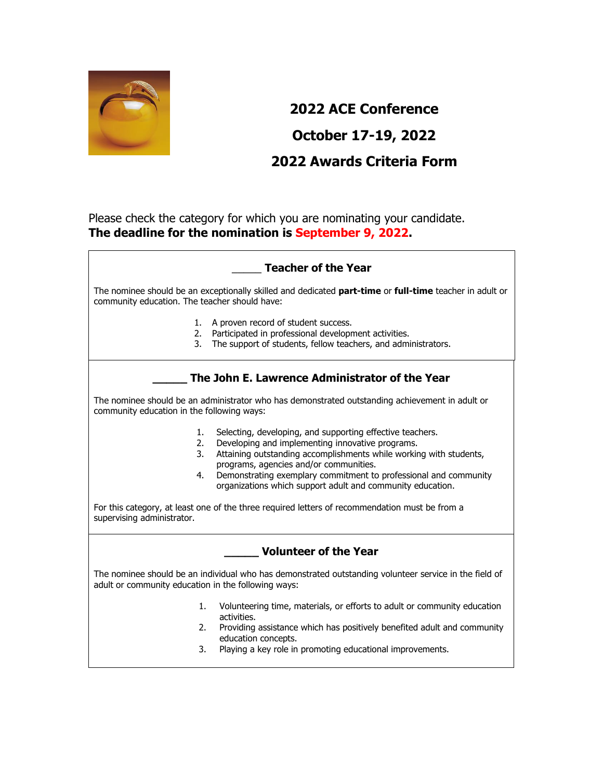

# **2022 ACE Conference October 17-19, 2022 2022 Awards Criteria Form**

Please check the category for which you are nominating your candidate. **The deadline for the nomination is September 9, 2022.**

### \_\_\_\_\_ **Teacher of the Year**

The nominee should be an exceptionally skilled and dedicated **part-time** or **full-time** teacher in adult or community education. The teacher should have:

- 1. A proven record of student success.
- 2. Participated in professional development activities.
- 3. The support of students, fellow teachers, and administrators.

### **\_\_\_\_\_ The John E. Lawrence Administrator of the Year**

The nominee should be an administrator who has demonstrated outstanding achievement in adult or community education in the following ways:

- 1. Selecting, developing, and supporting effective teachers.
- 2. Developing and implementing innovative programs.
- 3. Attaining outstanding accomplishments while working with students, programs, agencies and/or communities.
- 4. Demonstrating exemplary commitment to professional and community organizations which support adult and community education.

For this category, at least one of the three required letters of recommendation must be from a supervising administrator.

| <b>Volunteer of the Year</b> |  |  |
|------------------------------|--|--|
|                              |  |  |

The nominee should be an individual who has demonstrated outstanding volunteer service in the field of adult or community education in the following ways:

- 1. Volunteering time, materials, or efforts to adult or community education activities.
- 2. Providing assistance which has positively benefited adult and community education concepts.
- 3. Playing a key role in promoting educational improvements.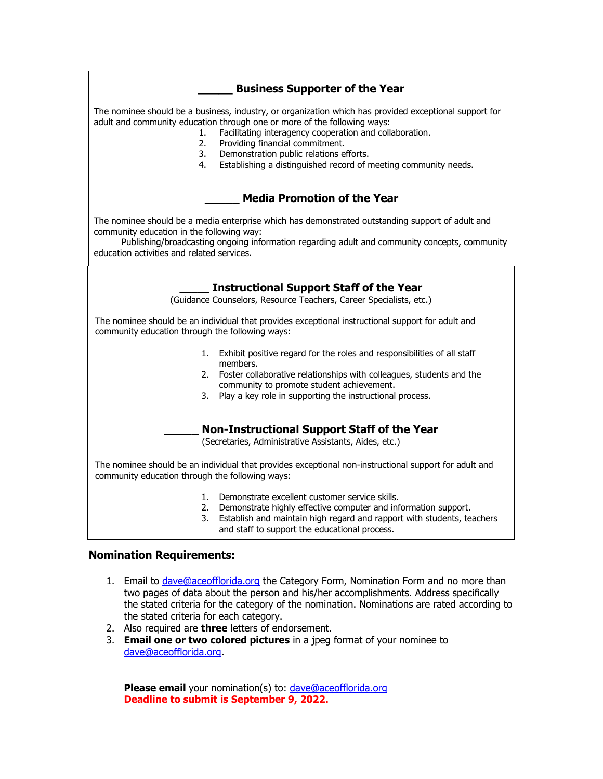### **\_\_\_\_\_ Business Supporter of the Year**

The nominee should be a business, industry, or organization which has provided exceptional support for adult and community education through one or more of the following ways:

- 1. Facilitating interagency cooperation and collaboration.
- 2. Providing financial commitment.
- 3. Demonstration public relations efforts.
- 4. Establishing a distinguished record of meeting community needs.

#### **\_\_\_\_\_ Media Promotion of the Year**

The nominee should be a media enterprise which has demonstrated outstanding support of adult and community education in the following way:

 Publishing/broadcasting ongoing information regarding adult and community concepts, community education activities and related services.

#### \_\_\_\_\_ **Instructional Support Staff of the Year**

**2013 ACE Conference** (Guidance Counselors, Resource Teachers, Career Specialists, etc.)

The nominee should be an individual that provides exceptional instructional support for adult and community education through the following ways:

- 1. Exhibit positive regard for the roles and responsibilities of all staff members.
- 2. Foster collaborative relationships with colleagues, students and the community to promote student achievement.
- 3. Play a key role in supporting the instructional process.

#### **\_\_\_\_\_ Non-Instructional Support Staff of the Year**

(Secretaries, Administrative Assistants, Aides, etc.)

The nominee should be an individual that provides exceptional non-instructional support for adult and community education through the following ways:

- 1. Demonstrate excellent customer service skills.
- 2. Demonstrate highly effective computer and information support.
- 3. Establish and maintain high regard and rapport with students, teachers and staff to support the educational process.

#### **Nomination Requirements:**

- 1. Email to [dave@aceofflorida.org](mailto:dave@aceofflorida.org) the Category Form, Nomination Form and no more than two pages of data about the person and his/her accomplishments. Address specifically the stated criteria for the category of the nomination. Nominations are rated according to the stated criteria for each category.
- 2. Also required are **three** letters of endorsement.
- 3. **Email one or two colored pictures** in a jpeg format of your nominee to [dave@aceofflorida.org.](mailto:dave@aceofflorida.org)

**Please email** your nomination(s) to: dave@aceofflorida.org **Deadline to submit is September 9, 2022.**